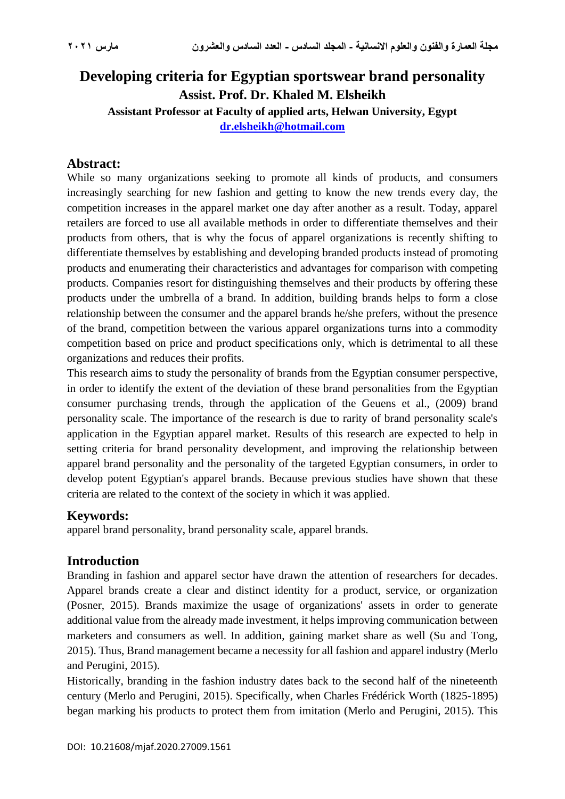# **Developing criteria for Egyptian sportswear brand personality Assist. Prof. Dr. Khaled M. Elsheikh Assistant Professor at Faculty of applied arts, Helwan University, Egypt [dr.elsheikh@hotmail.com](mailto:dr.elsheikh@hotmail.com)**

## **Abstract:**

While so many organizations seeking to promote all kinds of products, and consumers increasingly searching for new fashion and getting to know the new trends every day, the competition increases in the apparel market one day after another as a result. Today, apparel retailers are forced to use all available methods in order to differentiate themselves and their products from others, that is why the focus of apparel organizations is recently shifting to differentiate themselves by establishing and developing branded products instead of promoting products and enumerating their characteristics and advantages for comparison with competing products. Companies resort for distinguishing themselves and their products by offering these products under the umbrella of a brand. In addition, building brands helps to form a close relationship between the consumer and the apparel brands he/she prefers, without the presence of the brand, competition between the various apparel organizations turns into a commodity competition based on price and product specifications only, which is detrimental to all these organizations and reduces their profits.

This research aims to study the personality of brands from the Egyptian consumer perspective, in order to identify the extent of the deviation of these brand personalities from the Egyptian consumer purchasing trends, through the application of the Geuens et al., (2009) brand personality scale. The importance of the research is due to rarity of brand personality scale's application in the Egyptian apparel market. Results of this research are expected to help in setting criteria for brand personality development, and improving the relationship between apparel brand personality and the personality of the targeted Egyptian consumers, in order to develop potent Egyptian's apparel brands. Because previous studies have shown that these criteria are related to the context of the society in which it was applied .

### **Keywords:**

apparel brand personality, brand personality scale, apparel brands.

## **Introduction**

Branding in fashion and apparel sector have drawn the attention of researchers for decades. Apparel brands create a clear and distinct identity for a product, service, or organization (Posner, 2015). Brands maximize the usage of organizations' assets in order to generate additional value from the already made investment, it helps improving communication between marketers and consumers as well. In addition, gaining market share as well (Su and Tong, 2015). Thus, Brand management became a necessity for all fashion and apparel industry (Merlo and Perugini, 2015).

Historically, branding in the fashion industry dates back to the second half of the nineteenth century (Merlo and Perugini, 2015). Specifically, when Charles Frédérick Worth (1825-1895) began marking his products to protect them from imitation (Merlo and Perugini, 2015). This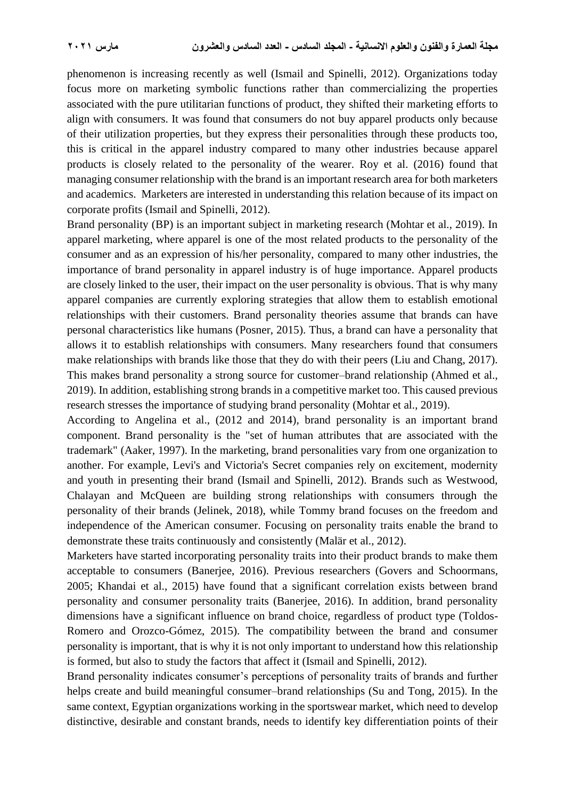phenomenon is increasing recently as well (Ismail and Spinelli, 2012). Organizations today focus more on marketing symbolic functions rather than commercializing the properties associated with the pure utilitarian functions of product, they shifted their marketing efforts to align with consumers. It was found that consumers do not buy apparel products only because of their utilization properties, but they express their personalities through these products too, this is critical in the apparel industry compared to many other industries because apparel products is closely related to the personality of the wearer. Roy et al. (2016) found that managing consumer relationship with the brand is an important research area for both marketers and academics. Marketers are interested in understanding this relation because of its impact on corporate profits (Ismail and Spinelli, 2012).

Brand personality (BP) is an important subject in marketing research (Mohtar et al., 2019). In apparel marketing, where apparel is one of the most related products to the personality of the consumer and as an expression of his/her personality, compared to many other industries, the importance of brand personality in apparel industry is of huge importance. Apparel products are closely linked to the user, their impact on the user personality is obvious. That is why many apparel companies are currently exploring strategies that allow them to establish emotional relationships with their customers. Brand personality theories assume that brands can have personal characteristics like humans (Posner, 2015). Thus, a brand can have a personality that allows it to establish relationships with consumers. Many researchers found that consumers make relationships with brands like those that they do with their peers (Liu and Chang, 2017). This makes brand personality a strong source for customer–brand relationship (Ahmed et al., 2019). In addition, establishing strong brands in a competitive market too. This caused previous research stresses the importance of studying brand personality (Mohtar et al., 2019).

According to Angelina et al., (2012 and 2014), brand personality is an important brand component. Brand personality is the "set of human attributes that are associated with the trademark" (Aaker, 1997). In the marketing, brand personalities vary from one organization to another. For example, Levi's and Victoria's Secret companies rely on excitement, modernity and youth in presenting their brand (Ismail and Spinelli, 2012). Brands such as Westwood, Chalayan and McQueen are building strong relationships with consumers through the personality of their brands (Jelinek, 2018), while Tommy brand focuses on the freedom and independence of the American consumer. Focusing on personality traits enable the brand to demonstrate these traits continuously and consistently (Malär et al., 2012).

Marketers have started incorporating personality traits into their product brands to make them acceptable to consumers (Banerjee, 2016). Previous researchers (Govers and Schoormans, 2005; Khandai et al., 2015) have found that a significant correlation exists between brand personality and consumer personality traits (Banerjee, 2016). In addition, brand personality dimensions have a significant influence on brand choice, regardless of product type (Toldos-Romero and Orozco-Gómez, 2015). The compatibility between the brand and consumer personality is important, that is why it is not only important to understand how this relationship is formed, but also to study the factors that affect it (Ismail and Spinelli, 2012).

Brand personality indicates consumer's perceptions of personality traits of brands and further helps create and build meaningful consumer–brand relationships (Su and Tong, 2015). In the same context, Egyptian organizations working in the sportswear market, which need to develop distinctive, desirable and constant brands, needs to identify key differentiation points of their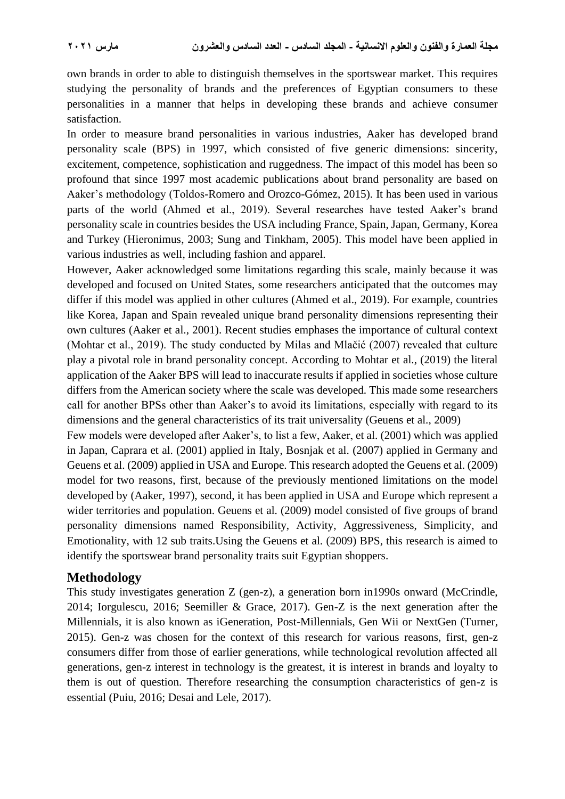own brands in order to able to distinguish themselves in the sportswear market. This requires studying the personality of brands and the preferences of Egyptian consumers to these personalities in a manner that helps in developing these brands and achieve consumer satisfaction.

In order to measure brand personalities in various industries, Aaker has developed brand personality scale (BPS) in 1997, which consisted of five generic dimensions: sincerity, excitement, competence, sophistication and ruggedness. The impact of this model has been so profound that since 1997 most academic publications about brand personality are based on Aaker's methodology (Toldos-Romero and Orozco-Gómez, 2015). It has been used in various parts of the world (Ahmed et al., 2019). Several researches have tested Aaker's brand personality scale in countries besides the USA including France, Spain, Japan, Germany, Korea and Turkey (Hieronimus, 2003; Sung and Tinkham, 2005). This model have been applied in various industries as well, including fashion and apparel.

However, Aaker acknowledged some limitations regarding this scale, mainly because it was developed and focused on United States, some researchers anticipated that the outcomes may differ if this model was applied in other cultures (Ahmed et al., 2019). For example, countries like Korea, Japan and Spain revealed unique brand personality dimensions representing their own cultures (Aaker et al., 2001). Recent studies emphases the importance of cultural context (Mohtar et al., 2019). The study conducted by Milas and Mlačić (2007) revealed that culture play a pivotal role in brand personality concept. According to Mohtar et al., (2019) the literal application of the Aaker BPS will lead to inaccurate results if applied in societies whose culture differs from the American society where the scale was developed. This made some researchers call for another BPSs other than Aaker's to avoid its limitations, especially with regard to its dimensions and the general characteristics of its trait universality (Geuens et al., 2009)

Few models were developed after Aaker's, to list a few, Aaker, et al. (2001) which was applied in Japan, Caprara et al. (2001) applied in Italy, Bosnjak et al. (2007) applied in Germany and Geuens et al. (2009) applied in USA and Europe. This research adopted the Geuens et al. (2009) model for two reasons, first, because of the previously mentioned limitations on the model developed by (Aaker, 1997), second, it has been applied in USA and Europe which represent a wider territories and population. Geuens et al. (2009) model consisted of five groups of brand personality dimensions named Responsibility, Activity, Aggressiveness, Simplicity, and Emotionality, with 12 sub traits.Using the Geuens et al. (2009) BPS, this research is aimed to identify the sportswear brand personality traits suit Egyptian shoppers.

### **Methodology**

This study investigates generation Z (gen-z), a generation born in1990s onward (McCrindle, 2014; Iorgulescu, 2016; Seemiller & Grace, 2017). Gen-Z is the next generation after the Millennials, it is also known as iGeneration, Post-Millennials, Gen Wii or NextGen (Turner, 2015). Gen-z was chosen for the context of this research for various reasons, first, gen-z consumers differ from those of earlier generations, while technological revolution affected all generations, gen-z interest in technology is the greatest, it is interest in brands and loyalty to them is out of question. Therefore researching the consumption characteristics of gen-z is essential (Puiu, 2016; Desai and Lele, 2017).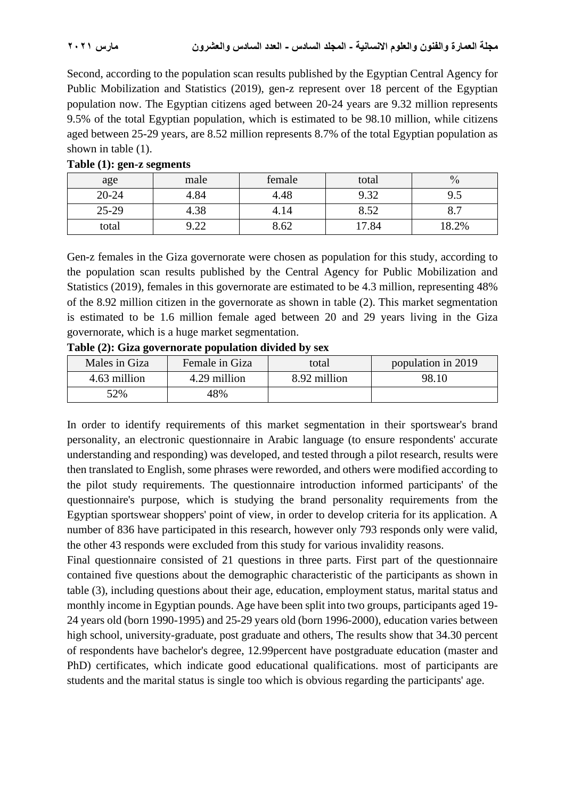Second, according to the population scan results published by the Egyptian Central Agency for Public Mobilization and Statistics (2019), gen-z represent over 18 percent of the Egyptian population now. The Egyptian citizens aged between 20-24 years are 9.32 million represents 9.5% of the total Egyptian population, which is estimated to be 98.10 million, while citizens aged between 25-29 years, are 8.52 million represents 8.7% of the total Egyptian population as shown in table (1).

| age       | male                | female | total | $\frac{0}{0}$          |
|-----------|---------------------|--------|-------|------------------------|
| $20 - 24$ | 4.84                | 4.48   | 9.32  | ر.,                    |
| $25-29$   | 4.38                | 4.14   | 8.52  | $\mathbf{O}_{\bullet}$ |
| total     | $\Omega$ 22<br>∟∠.י | 8.62   | 17.84 | 18.2%                  |

### **Table (1): gen-z segments**

Gen-z females in the Giza governorate were chosen as population for this study, according to the population scan results published by the Central Agency for Public Mobilization and Statistics (2019), females in this governorate are estimated to be 4.3 million, representing 48% of the 8.92 million citizen in the governorate as shown in table (2). This market segmentation is estimated to be 1.6 million female aged between 20 and 29 years living in the Giza governorate, which is a huge market segmentation.

| Males in Giza | Female in Giza | total        | population in 2019 |
|---------------|----------------|--------------|--------------------|
| 4.63 million  | 4.29 million   | 8.92 million | 98.10              |
| 52%           | 48%            |              |                    |

**Table (2): Giza governorate population divided by sex**

In order to identify requirements of this market segmentation in their sportswear's brand personality, an electronic questionnaire in Arabic language (to ensure respondents' accurate understanding and responding) was developed, and tested through a pilot research, results were then translated to English, some phrases were reworded, and others were modified according to the pilot study requirements. The questionnaire introduction informed participants' of the questionnaire's purpose, which is studying the brand personality requirements from the Egyptian sportswear shoppers' point of view, in order to develop criteria for its application. A number of 836 have participated in this research, however only 793 responds only were valid, the other 43 responds were excluded from this study for various invalidity reasons.

Final questionnaire consisted of 21 questions in three parts. First part of the questionnaire contained five questions about the demographic characteristic of the participants as shown in table (3), including questions about their age, education, employment status, marital status and monthly income in Egyptian pounds. Age have been split into two groups, participants aged 19- 24 years old (born 1990-1995) and 25-29 years old (born 1996-2000), education varies between high school, university-graduate, post graduate and others, The results show that 34.30 percent of respondents have bachelor's degree, 12.99percent have postgraduate education (master and PhD) certificates, which indicate good educational qualifications. most of participants are students and the marital status is single too which is obvious regarding the participants' age.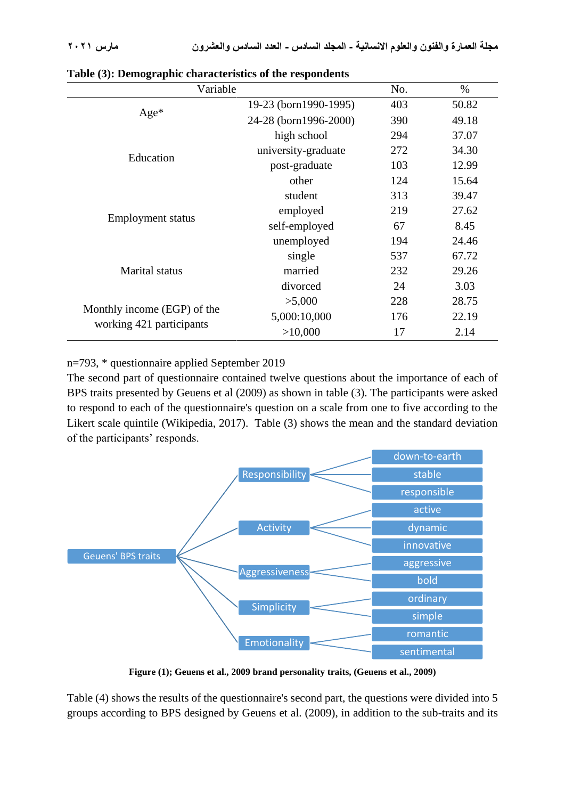| Variable                    |                       | No. | $\%$  |
|-----------------------------|-----------------------|-----|-------|
|                             | 19-23 (born1990-1995) | 403 | 50.82 |
| $Age*$                      | 24-28 (born1996-2000) | 390 | 49.18 |
|                             | high school           | 294 | 37.07 |
| Education                   | university-graduate   | 272 | 34.30 |
|                             | post-graduate         | 103 | 12.99 |
|                             | other                 | 124 | 15.64 |
|                             | student               | 313 | 39.47 |
|                             | employed              | 219 | 27.62 |
| <b>Employment status</b>    | self-employed         | 67  | 8.45  |
|                             | unemployed            | 194 | 24.46 |
|                             | single                | 537 | 67.72 |
| <b>Marital</b> status       | married               | 232 | 29.26 |
|                             | divorced              | 24  | 3.03  |
|                             | >5,000                | 228 | 28.75 |
| Monthly income (EGP) of the | 5,000:10,000          | 176 | 22.19 |
| working 421 participants    | >10,000               | 17  | 2.14  |

**Table (3): Demographic characteristics of the respondents**

n=793, \* questionnaire applied September 2019

The second part of questionnaire contained twelve questions about the importance of each of BPS traits presented by Geuens et al (2009) as shown in table (3). The participants were asked to respond to each of the questionnaire's question on a scale from one to five according to the Likert scale quintile (Wikipedia, 2017). Table (3) shows the mean and the standard deviation of the participants' responds.



**Figure (1); Geuens et al., 2009 brand personality traits, (Geuens et al., 2009)**

Table (4) shows the results of the questionnaire's second part, the questions were divided into 5 groups according to BPS designed by Geuens et al. (2009), in addition to the sub-traits and its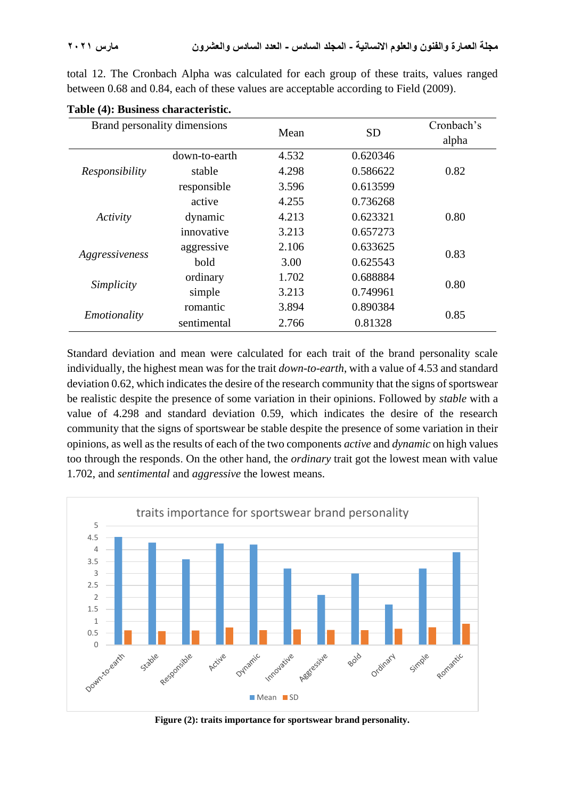total 12. The Cronbach Alpha was calculated for each group of these traits, values ranged between 0.68 and 0.84, each of these values are acceptable according to Field (2009).

| Brand personality dimensions |               | Mean  | <b>SD</b> | Cronbach's |  |
|------------------------------|---------------|-------|-----------|------------|--|
|                              |               |       |           | alpha      |  |
|                              | down-to-earth | 4.532 | 0.620346  | 0.82       |  |
| Responsibility               | stable        | 4.298 | 0.586622  |            |  |
|                              | responsible   | 3.596 | 0.613599  |            |  |
| Activity                     | active        | 4.255 | 0.736268  |            |  |
|                              | dynamic       | 4.213 | 0.623321  | 0.80       |  |
|                              | innovative    | 3.213 | 0.657273  |            |  |
|                              | aggressive    | 2.106 | 0.633625  | 0.83       |  |
| Aggressiveness               | bold          | 3.00  | 0.625543  |            |  |
| Simplicity                   | ordinary      | 1.702 | 0.688884  | 0.80       |  |
|                              | simple        | 3.213 | 0.749961  |            |  |
| Emotionality                 | romantic      | 3.894 | 0.890384  | 0.85       |  |
|                              | sentimental   | 2.766 | 0.81328   |            |  |

|  |  |  | Table (4): Business characteristic. |
|--|--|--|-------------------------------------|
|--|--|--|-------------------------------------|

Standard deviation and mean were calculated for each trait of the brand personality scale individually, the highest mean was for the trait *down-to-earth*, with a value of 4.53 and standard deviation 0.62, which indicates the desire of the research community that the signs of sportswear be realistic despite the presence of some variation in their opinions. Followed by *stable* with a value of 4.298 and standard deviation 0.59, which indicates the desire of the research community that the signs of sportswear be stable despite the presence of some variation in their opinions, as well as the results of each of the two components *active* and *dynamic* on high values too through the responds . On the other hand, the *ordinary* trait got the lowest mean with value 1.702, and *sentimental* and *aggressive* the lowest means.



**Figure (2): traits importance for sportswear brand personality.**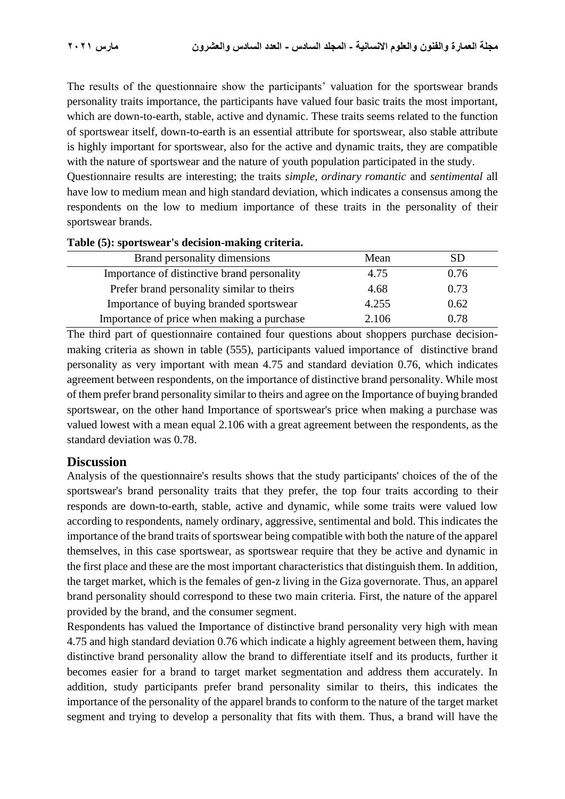The results of the questionnaire show the participants' valuation for the sportswear brands personality traits importance, the participants have valued four basic traits the most important, which are down-to-earth, stable, active and dynamic. These traits seems related to the function of sportswear itself, down-to-earth is an essential attribute for sportswear, also stable attribute is highly important for sportswear, also for the active and dynamic traits, they are compatible with the nature of sportswear and the nature of youth population participated in the study.

Questionnaire results are interesting; the traits *simple*, *ordinary romantic* and *sentimental* all have low to medium mean and high standard deviation, which indicates a consensus among the respondents on the low to medium importance of these traits in the personality of their sportswear brands.

| Mean  | SD   |
|-------|------|
| 4.75  | 0.76 |
| 4.68  | 0.73 |
| 4.255 | 0.62 |
| 2.106 | 0.78 |
|       |      |

### **Table (5): sportswear's decision-making criteria.**

The third part of questionnaire contained four questions about shoppers purchase decisionmaking criteria as shown in table (555), participants valued importance of distinctive brand personality as very important with mean 4.75 and standard deviation 0.76, which indicates agreement between respondents, on the importance of distinctive brand personality. While most of them prefer brand personality similar to theirs and agree on the Importance of buying branded sportswear, on the other hand Importance of sportswear's price when making a purchase was valued lowest with a mean equal 2.106 with a great agreement between the respondents, as the standard deviation was 0.78.

### **Discussion**

Analysis of the questionnaire's results shows that the study participants' choices of the of the sportswear's brand personality traits that they prefer, the top four traits according to their responds are down-to-earth, stable, active and dynamic, while some traits were valued low according to respondents, namely ordinary, aggressive, sentimental and bold. This indicates the importance of the brand traits of sportswear being compatible with both the nature of the apparel themselves, in this case sportswear, as sportswear require that they be active and dynamic in the first place and these are the most important characteristics that distinguish them. In addition, the target market, which is the females of gen-z living in the Giza governorate. Thus, an apparel brand personality should correspond to these two main criteria. First, the nature of the apparel provided by the brand, and the consumer segment.

Respondents has valued the Importance of distinctive brand personality very high with mean 4.75 and high standard deviation 0.76 which indicate a highly agreement between them, having distinctive brand personality allow the brand to differentiate itself and its products, further it becomes easier for a brand to target market segmentation and address them accurately. In addition, study participants prefer brand personality similar to theirs, this indicates the importance of the personality of the apparel brands to conform to the nature of the target market segment and trying to develop a personality that fits with them. Thus, a brand will have the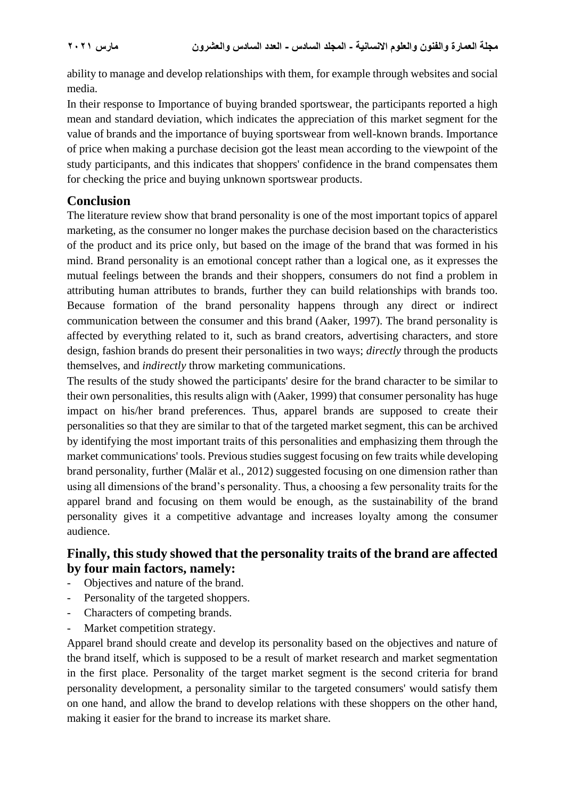ability to manage and develop relationships with them, for example through websites and social media.

In their response to Importance of buying branded sportswear, the participants reported a high mean and standard deviation, which indicates the appreciation of this market segment for the value of brands and the importance of buying sportswear from well-known brands. Importance of price when making a purchase decision got the least mean according to the viewpoint of the study participants, and this indicates that shoppers' confidence in the brand compensates them for checking the price and buying unknown sportswear products.

## **Conclusion**

The literature review show that brand personality is one of the most important topics of apparel marketing, as the consumer no longer makes the purchase decision based on the characteristics of the product and its price only, but based on the image of the brand that was formed in his mind. Brand personality is an emotional concept rather than a logical one, as it expresses the mutual feelings between the brands and their shoppers, consumers do not find a problem in attributing human attributes to brands, further they can build relationships with brands too. Because formation of the brand personality happens through any direct or indirect communication between the consumer and this brand (Aaker, 1997). The brand personality is affected by everything related to it, such as brand creators, advertising characters, and store design, fashion brands do present their personalities in two ways; *directly* through the products themselves, and *indirectly* throw marketing communications.

The results of the study showed the participants' desire for the brand character to be similar to their own personalities, this results align with (Aaker, 1999) that consumer personality has huge impact on his/her brand preferences. Thus, apparel brands are supposed to create their personalities so that they are similar to that of the targeted market segment, this can be archived by identifying the most important traits of this personalities and emphasizing them through the market communications' tools. Previous studies suggest focusing on few traits while developing brand personality, further (Malär et al., 2012) suggested focusing on one dimension rather than using all dimensions of the brand's personality. Thus, a choosing a few personality traits for the apparel brand and focusing on them would be enough, as the sustainability of the brand personality gives it a competitive advantage and increases loyalty among the consumer audience.

## **Finally, this study showed that the personality traits of the brand are affected by four main factors, namely:**

- Objectives and nature of the brand.
- Personality of the targeted shoppers.
- Characters of competing brands.
- Market competition strategy.

Apparel brand should create and develop its personality based on the objectives and nature of the brand itself, which is supposed to be a result of market research and market segmentation in the first place. Personality of the target market segment is the second criteria for brand personality development, a personality similar to the targeted consumers' would satisfy them on one hand, and allow the brand to develop relations with these shoppers on the other hand, making it easier for the brand to increase its market share.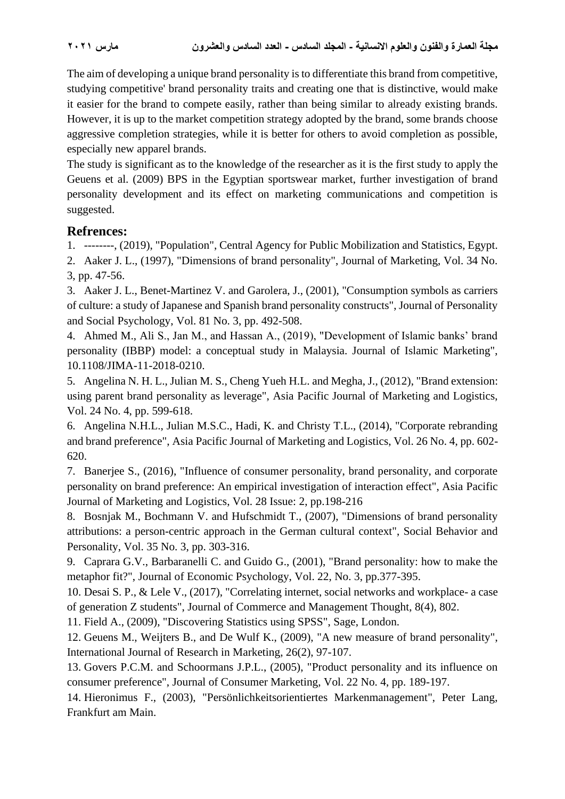The aim of developing a unique brand personality is to differentiate this brand from competitive, studying competitive' brand personality traits and creating one that is distinctive, would make it easier for the brand to compete easily, rather than being similar to already existing brands. However, it is up to the market competition strategy adopted by the brand, some brands choose aggressive completion strategies, while it is better for others to avoid completion as possible, especially new apparel brands.

The study is significant as to the knowledge of the researcher as it is the first study to apply the Geuens et al. (2009) BPS in the Egyptian sportswear market, further investigation of brand personality development and its effect on marketing communications and competition is suggested.

## **Refrences:**

1. --------, (2019), "Population", Central Agency for Public Mobilization and Statistics, Egypt.

2. Aaker J. L., (1997), "Dimensions of brand personality", Journal of Marketing, Vol. 34 No. 3, pp. 47-56.

3. Aaker J. L., Benet-Martinez V. and Garolera, J., (2001), "Consumption symbols as carriers of culture: a study of Japanese and Spanish brand personality constructs", Journal of Personality and Social Psychology, Vol. 81 No. 3, pp. 492-508.

4. Ahmed M., Ali S., Jan M., and Hassan A., (2019), "Development of Islamic banks' brand personality (IBBP) model: a conceptual study in Malaysia. Journal of Islamic Marketing", 10.1108/JIMA-11-2018-0210.

5. Angelina N. H. L., Julian M. S., Cheng Yueh H.L. and Megha, J., (2012), "Brand extension: using parent brand personality as leverage", Asia Pacific Journal of Marketing and Logistics, Vol. 24 No. 4, pp. 599-618.

6. Angelina N.H.L., Julian M.S.C., Hadi, K. and Christy T.L., (2014), "Corporate rebranding and brand preference", Asia Pacific Journal of Marketing and Logistics, Vol. 26 No. 4, pp. 602- 620.

7. Banerjee S., (2016), "Influence of consumer personality, brand personality, and corporate personality on brand preference: An empirical investigation of interaction effect", Asia Pacific Journal of Marketing and Logistics, Vol. 28 Issue: 2, pp.198-216

8. Bosnjak M., Bochmann V. and Hufschmidt T., (2007), "Dimensions of brand personality attributions: a person-centric approach in the German cultural context", Social Behavior and Personality, Vol. 35 No. 3, pp. 303-316.

9. Caprara G.V., Barbaranelli C. and Guido G., (2001), "Brand personality: how to make the metaphor fit?", Journal of Economic Psychology, Vol. 22, No. 3, pp.377-395.

10. Desai S. P., & Lele V., (2017), "Correlating internet, social networks and workplace- a case of generation Z students", Journal of Commerce and Management Thought, 8(4), 802.

11. Field A., (2009), "Discovering Statistics using SPSS", Sage, London.

12. Geuens M., Weijters B., and De Wulf K., (2009), "A new measure of brand personality", International Journal of Research in Marketing, 26(2), 97-107.

13. Govers P.C.M. and Schoormans J.P.L., (2005), "Product personality and its influence on consumer preference", Journal of Consumer Marketing, Vol. 22 No. 4, pp. 189-197.

14. Hieronimus F., (2003), "Persönlichkeitsorientiertes Markenmanagement", Peter Lang, Frankfurt am Main.